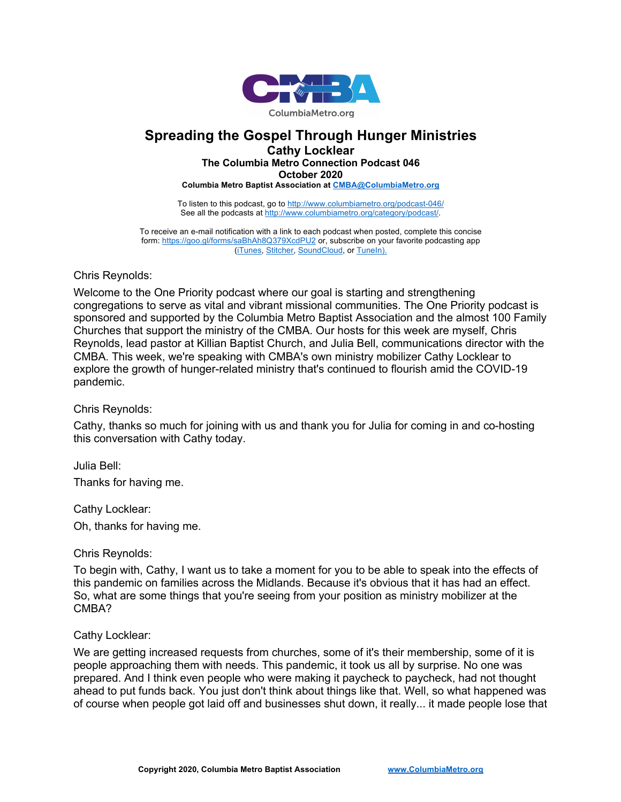

# **Spreading the Gospel Through Hunger Ministries**

**Cathy Locklear**

## **The Columbia Metro Connection Podcast 046**

**October 2020**

**Columbia Metro Baptist Association at CMBA@ColumbiaMetro.org**

To listen to this podcast, go to http://www.columbiametro.org/podcast-046/ See all the podcasts at http://www.columbiametro.org/category/podcast/.

To receive an e-mail notification with a link to each podcast when posted, complete this concise form: https://goo.gl/forms/saBhAh8Q379XcdPU2 or, subscribe on your favorite podcasting app (iTunes, Stitcher, SoundCloud, or TuneIn).

## Chris Reynolds:

Welcome to the One Priority podcast where our goal is starting and strengthening congregations to serve as vital and vibrant missional communities. The One Priority podcast is sponsored and supported by the Columbia Metro Baptist Association and the almost 100 Family Churches that support the ministry of the CMBA. Our hosts for this week are myself, Chris Reynolds, lead pastor at Killian Baptist Church, and Julia Bell, communications director with the CMBA. This week, we're speaking with CMBA's own ministry mobilizer Cathy Locklear to explore the growth of hunger-related ministry that's continued to flourish amid the COVID-19 pandemic.

Chris Reynolds:

Cathy, thanks so much for joining with us and thank you for Julia for coming in and co-hosting this conversation with Cathy today.

Julia Bell: Thanks for having me.

Cathy Locklear:

Oh, thanks for having me.

# Chris Reynolds:

To begin with, Cathy, I want us to take a moment for you to be able to speak into the effects of this pandemic on families across the Midlands. Because it's obvious that it has had an effect. So, what are some things that you're seeing from your position as ministry mobilizer at the CMBA?

#### Cathy Locklear:

We are getting increased requests from churches, some of it's their membership, some of it is people approaching them with needs. This pandemic, it took us all by surprise. No one was prepared. And I think even people who were making it paycheck to paycheck, had not thought ahead to put funds back. You just don't think about things like that. Well, so what happened was of course when people got laid off and businesses shut down, it really... it made people lose that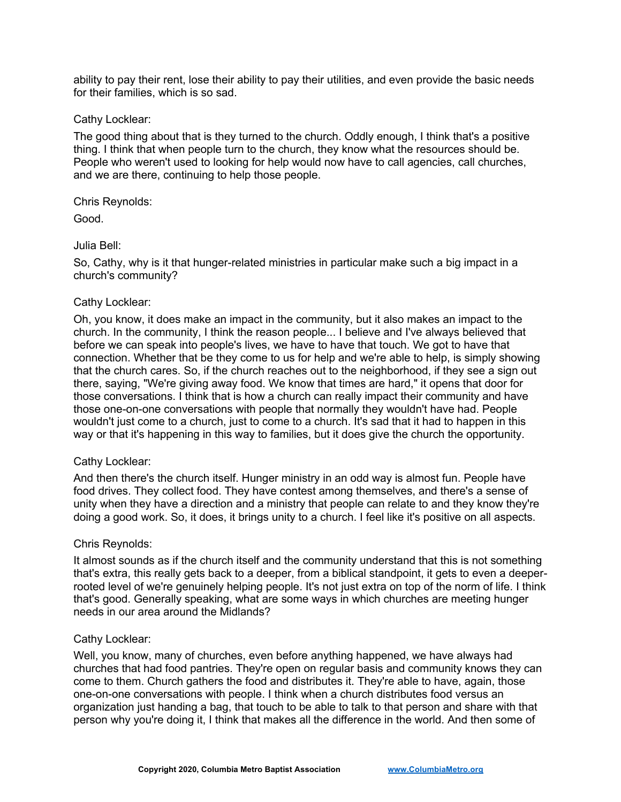ability to pay their rent, lose their ability to pay their utilities, and even provide the basic needs for their families, which is so sad.

#### Cathy Locklear:

The good thing about that is they turned to the church. Oddly enough, I think that's a positive thing. I think that when people turn to the church, they know what the resources should be. People who weren't used to looking for help would now have to call agencies, call churches, and we are there, continuing to help those people.

Chris Reynolds:

Good.

# Julia Bell:

So, Cathy, why is it that hunger-related ministries in particular make such a big impact in a church's community?

## Cathy Locklear:

Oh, you know, it does make an impact in the community, but it also makes an impact to the church. In the community, I think the reason people... I believe and I've always believed that before we can speak into people's lives, we have to have that touch. We got to have that connection. Whether that be they come to us for help and we're able to help, is simply showing that the church cares. So, if the church reaches out to the neighborhood, if they see a sign out there, saying, "We're giving away food. We know that times are hard," it opens that door for those conversations. I think that is how a church can really impact their community and have those one-on-one conversations with people that normally they wouldn't have had. People wouldn't just come to a church, just to come to a church. It's sad that it had to happen in this way or that it's happening in this way to families, but it does give the church the opportunity.

# Cathy Locklear:

And then there's the church itself. Hunger ministry in an odd way is almost fun. People have food drives. They collect food. They have contest among themselves, and there's a sense of unity when they have a direction and a ministry that people can relate to and they know they're doing a good work. So, it does, it brings unity to a church. I feel like it's positive on all aspects.

# Chris Reynolds:

It almost sounds as if the church itself and the community understand that this is not something that's extra, this really gets back to a deeper, from a biblical standpoint, it gets to even a deeperrooted level of we're genuinely helping people. It's not just extra on top of the norm of life. I think that's good. Generally speaking, what are some ways in which churches are meeting hunger needs in our area around the Midlands?

# Cathy Locklear:

Well, you know, many of churches, even before anything happened, we have always had churches that had food pantries. They're open on regular basis and community knows they can come to them. Church gathers the food and distributes it. They're able to have, again, those one-on-one conversations with people. I think when a church distributes food versus an organization just handing a bag, that touch to be able to talk to that person and share with that person why you're doing it, I think that makes all the difference in the world. And then some of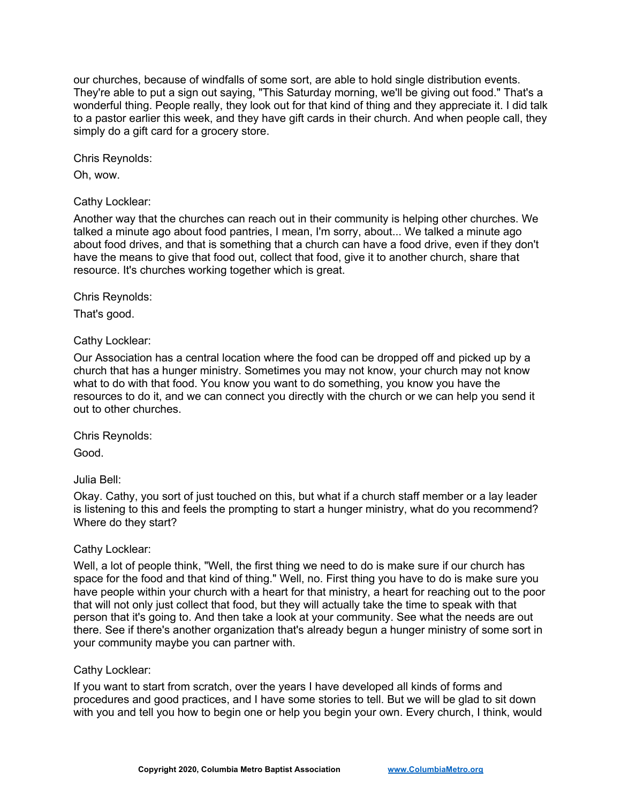our churches, because of windfalls of some sort, are able to hold single distribution events. They're able to put a sign out saying, "This Saturday morning, we'll be giving out food." That's a wonderful thing. People really, they look out for that kind of thing and they appreciate it. I did talk to a pastor earlier this week, and they have gift cards in their church. And when people call, they simply do a gift card for a grocery store.

Chris Reynolds:

Oh, wow.

## Cathy Locklear:

Another way that the churches can reach out in their community is helping other churches. We talked a minute ago about food pantries, I mean, I'm sorry, about... We talked a minute ago about food drives, and that is something that a church can have a food drive, even if they don't have the means to give that food out, collect that food, give it to another church, share that resource. It's churches working together which is great.

Chris Reynolds:

That's good.

Cathy Locklear:

Our Association has a central location where the food can be dropped off and picked up by a church that has a hunger ministry. Sometimes you may not know, your church may not know what to do with that food. You know you want to do something, you know you have the resources to do it, and we can connect you directly with the church or we can help you send it out to other churches.

Chris Reynolds:

Good.

Julia Bell:

Okay. Cathy, you sort of just touched on this, but what if a church staff member or a lay leader is listening to this and feels the prompting to start a hunger ministry, what do you recommend? Where do they start?

# Cathy Locklear:

Well, a lot of people think, "Well, the first thing we need to do is make sure if our church has space for the food and that kind of thing." Well, no. First thing you have to do is make sure you have people within your church with a heart for that ministry, a heart for reaching out to the poor that will not only just collect that food, but they will actually take the time to speak with that person that it's going to. And then take a look at your community. See what the needs are out there. See if there's another organization that's already begun a hunger ministry of some sort in your community maybe you can partner with.

#### Cathy Locklear:

If you want to start from scratch, over the years I have developed all kinds of forms and procedures and good practices, and I have some stories to tell. But we will be glad to sit down with you and tell you how to begin one or help you begin your own. Every church, I think, would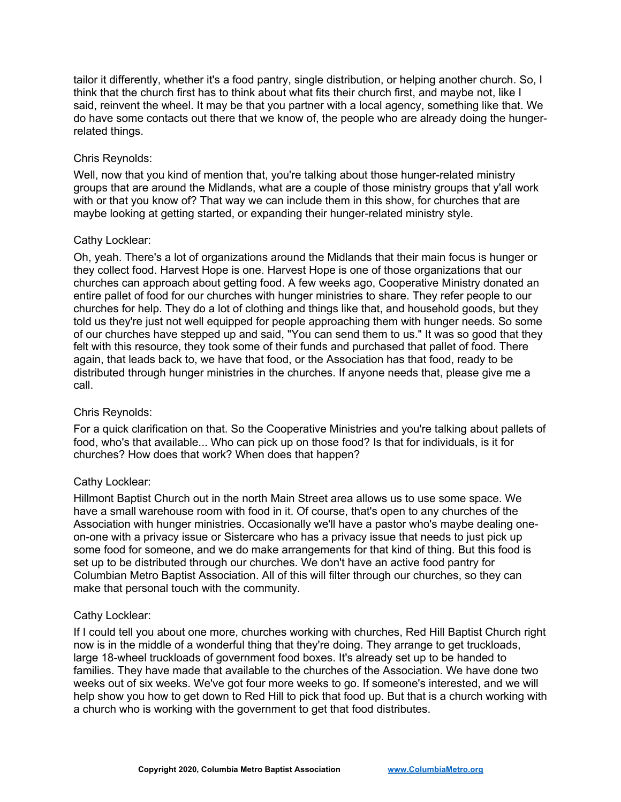tailor it differently, whether it's a food pantry, single distribution, or helping another church. So, I think that the church first has to think about what fits their church first, and maybe not, like I said, reinvent the wheel. It may be that you partner with a local agency, something like that. We do have some contacts out there that we know of, the people who are already doing the hungerrelated things.

## Chris Reynolds:

Well, now that you kind of mention that, you're talking about those hunger-related ministry groups that are around the Midlands, what are a couple of those ministry groups that y'all work with or that you know of? That way we can include them in this show, for churches that are maybe looking at getting started, or expanding their hunger-related ministry style.

## Cathy Locklear:

Oh, yeah. There's a lot of organizations around the Midlands that their main focus is hunger or they collect food. Harvest Hope is one. Harvest Hope is one of those organizations that our churches can approach about getting food. A few weeks ago, Cooperative Ministry donated an entire pallet of food for our churches with hunger ministries to share. They refer people to our churches for help. They do a lot of clothing and things like that, and household goods, but they told us they're just not well equipped for people approaching them with hunger needs. So some of our churches have stepped up and said, "You can send them to us." It was so good that they felt with this resource, they took some of their funds and purchased that pallet of food. There again, that leads back to, we have that food, or the Association has that food, ready to be distributed through hunger ministries in the churches. If anyone needs that, please give me a call.

# Chris Reynolds:

For a quick clarification on that. So the Cooperative Ministries and you're talking about pallets of food, who's that available... Who can pick up on those food? Is that for individuals, is it for churches? How does that work? When does that happen?

# Cathy Locklear:

Hillmont Baptist Church out in the north Main Street area allows us to use some space. We have a small warehouse room with food in it. Of course, that's open to any churches of the Association with hunger ministries. Occasionally we'll have a pastor who's maybe dealing oneon-one with a privacy issue or Sistercare who has a privacy issue that needs to just pick up some food for someone, and we do make arrangements for that kind of thing. But this food is set up to be distributed through our churches. We don't have an active food pantry for Columbian Metro Baptist Association. All of this will filter through our churches, so they can make that personal touch with the community.

#### Cathy Locklear:

If I could tell you about one more, churches working with churches, Red Hill Baptist Church right now is in the middle of a wonderful thing that they're doing. They arrange to get truckloads, large 18-wheel truckloads of government food boxes. It's already set up to be handed to families. They have made that available to the churches of the Association. We have done two weeks out of six weeks. We've got four more weeks to go. If someone's interested, and we will help show you how to get down to Red Hill to pick that food up. But that is a church working with a church who is working with the government to get that food distributes.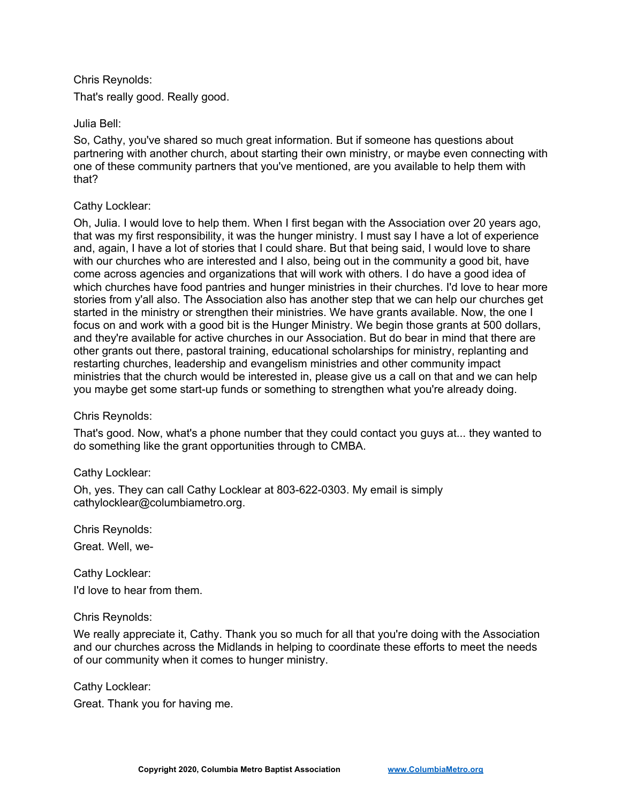## Chris Reynolds:

That's really good. Really good.

## Julia Bell:

So, Cathy, you've shared so much great information. But if someone has questions about partnering with another church, about starting their own ministry, or maybe even connecting with one of these community partners that you've mentioned, are you available to help them with that?

## Cathy Locklear:

Oh, Julia. I would love to help them. When I first began with the Association over 20 years ago, that was my first responsibility, it was the hunger ministry. I must say I have a lot of experience and, again, I have a lot of stories that I could share. But that being said, I would love to share with our churches who are interested and I also, being out in the community a good bit, have come across agencies and organizations that will work with others. I do have a good idea of which churches have food pantries and hunger ministries in their churches. I'd love to hear more stories from y'all also. The Association also has another step that we can help our churches get started in the ministry or strengthen their ministries. We have grants available. Now, the one I focus on and work with a good bit is the Hunger Ministry. We begin those grants at 500 dollars, and they're available for active churches in our Association. But do bear in mind that there are other grants out there, pastoral training, educational scholarships for ministry, replanting and restarting churches, leadership and evangelism ministries and other community impact ministries that the church would be interested in, please give us a call on that and we can help you maybe get some start-up funds or something to strengthen what you're already doing.

# Chris Reynolds:

That's good. Now, what's a phone number that they could contact you guys at... they wanted to do something like the grant opportunities through to CMBA.

# Cathy Locklear:

Oh, yes. They can call Cathy Locklear at 803-622-0303. My email is simply cathylocklear@columbiametro.org.

Chris Reynolds: Great. Well, we-

Cathy Locklear: I'd love to hear from them.

#### Chris Reynolds:

We really appreciate it, Cathy. Thank you so much for all that you're doing with the Association and our churches across the Midlands in helping to coordinate these efforts to meet the needs of our community when it comes to hunger ministry.

Cathy Locklear:

Great. Thank you for having me.